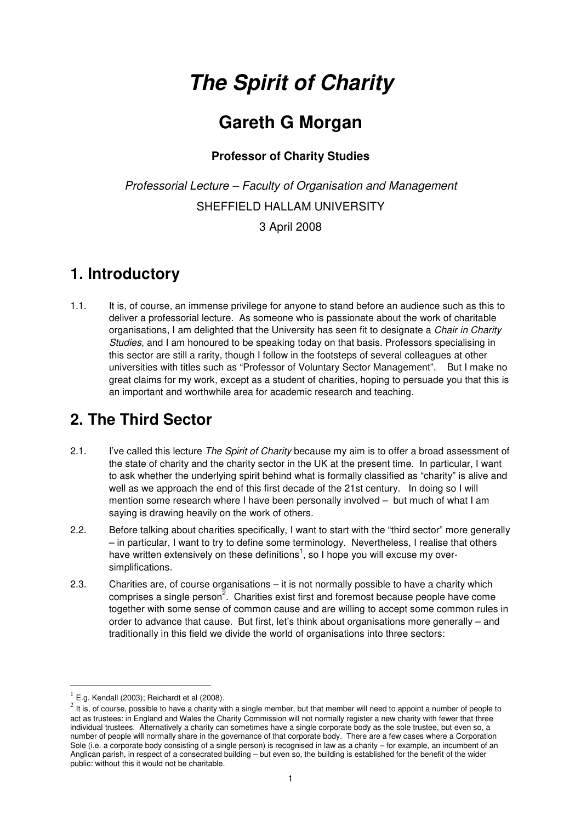# **The Spirit of Charity**

## **Gareth G Morgan**

#### **Professor of Charity Studies**

*Professorial Lecture – Faculty of Organisation and Management*  SHEFFIELD HALLAM UNIVERSITY 3 April 2008

#### **1. Introductory**

1.1. It is, of course, an immense privilege for anyone to stand before an audience such as this to deliver a professorial lecture. As someone who is passionate about the work of charitable organisations, I am delighted that the University has seen fit to designate a *Chair in Charity Studies*, and I am honoured to be speaking today on that basis. Professors specialising in this sector are still a rarity, though I follow in the footsteps of several colleagues at other universities with titles such as "Professor of Voluntary Sector Management". But I make no great claims for my work, except as a student of charities, hoping to persuade you that this is an important and worthwhile area for academic research and teaching.

#### **2. The Third Sector**

- 2.1. I've called this lecture *The Spirit of Charity* because my aim is to offer a broad assessment of the state of charity and the charity sector in the UK at the present time. In particular, I want to ask whether the underlying spirit behind what is formally classified as "charity" is alive and well as we approach the end of this first decade of the 21st century. In doing so I will mention some research where I have been personally involved – but much of what I am saying is drawing heavily on the work of others.
- 2.2. Before talking about charities specifically, I want to start with the "third sector" more generally – in particular, I want to try to define some terminology. Nevertheless, I realise that others have written extensively on these definitions<sup>1</sup>, so I hope you will excuse my oversimplifications.
- 2.3. Charities are, of course organisations it is not normally possible to have a charity which comprises a single person<sup>2</sup>. Charities exist first and foremost because people have come together with some sense of common cause and are willing to accept some common rules in order to advance that cause. But first, let's think about organisations more generally – and traditionally in this field we divide the world of organisations into three sectors:

<sup>1</sup> E.g. Kendall (2003); Reichardt et al (2008).

 $2^2$  It is, of course, possible to have a charity with a single member, but that member will need to appoint a number of people to act as trustees: in England and Wales the Charity Commission will not normally register a new charity with fewer that three individual trustees. Alternatively a charity can sometimes have a single corporate body as the sole trustee, but even so, a number of people will normally share in the governance of that corporate body. There are a few cases where a Corporation Sole (i.e. a corporate body consisting of a single person) is recognised in law as a charity – for example, an incumbent of an Anglican parish, in respect of a consecrated building – but even so, the building is established for the benefit of the wider public: without this it would not be charitable.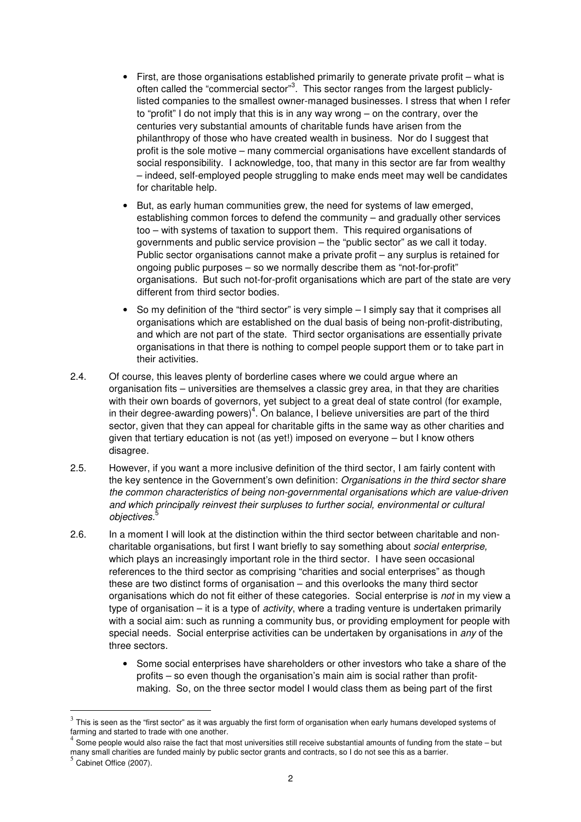- First, are those organisations established primarily to generate private profit what is often called the "commercial sector"<sup>3</sup>. This sector ranges from the largest publiclylisted companies to the smallest owner-managed businesses. I stress that when I refer to "profit" I do not imply that this is in any way wrong – on the contrary, over the centuries very substantial amounts of charitable funds have arisen from the philanthropy of those who have created wealth in business. Nor do I suggest that profit is the sole motive – many commercial organisations have excellent standards of social responsibility. I acknowledge, too, that many in this sector are far from wealthy – indeed, self-employed people struggling to make ends meet may well be candidates for charitable help.
- But, as early human communities grew, the need for systems of law emerged, establishing common forces to defend the community – and gradually other services too – with systems of taxation to support them. This required organisations of governments and public service provision – the "public sector" as we call it today. Public sector organisations cannot make a private profit – any surplus is retained for ongoing public purposes – so we normally describe them as "not-for-profit" organisations. But such not-for-profit organisations which are part of the state are very different from third sector bodies.
- So my definition of the "third sector" is very simple I simply say that it comprises all organisations which are established on the dual basis of being non-profit-distributing, and which are not part of the state. Third sector organisations are essentially private organisations in that there is nothing to compel people support them or to take part in their activities.
- 2.4. Of course, this leaves plenty of borderline cases where we could argue where an organisation fits – universities are themselves a classic grey area, in that they are charities with their own boards of governors, yet subject to a great deal of state control (for example, in their degree-awarding powers)<sup>4</sup>. On balance, I believe universities are part of the third sector, given that they can appeal for charitable gifts in the same way as other charities and given that tertiary education is not (as yet!) imposed on everyone – but I know others disagree.
- 2.5. However, if you want a more inclusive definition of the third sector, I am fairly content with the key sentence in the Government's own definition: *Organisations in the third sector share the common characteristics of being non-governmental organisations which are value-driven and which principally reinvest their surpluses to further social, environmental or cultural objectives.*<sup>5</sup>
- 2.6. In a moment I will look at the distinction within the third sector between charitable and noncharitable organisations, but first I want briefly to say something about *social enterprise,* which plays an increasingly important role in the third sector. I have seen occasional references to the third sector as comprising "charities and social enterprises" as though these are two distinct forms of organisation – and this overlooks the many third sector organisations which do not fit either of these categories. Social enterprise is *not* in my view a type of organisation – it is a type of *activity*, where a trading venture is undertaken primarily with a social aim: such as running a community bus, or providing employment for people with special needs. Social enterprise activities can be undertaken by organisations in *any* of the three sectors.
	- Some social enterprises have shareholders or other investors who take a share of the profits – so even though the organisation's main aim is social rather than profitmaking. So, on the three sector model I would class them as being part of the first

 $^3$  This is seen as the "first sector" as it was arguably the first form of organisation when early humans developed systems of farming and started to trade with one another. 4

Some people would also raise the fact that most universities still receive substantial amounts of funding from the state – but many small charities are funded mainly by public sector grants and contracts, so I do not see this as a barrier.

 $5<sup>5</sup>$  Cabinet Office (2007).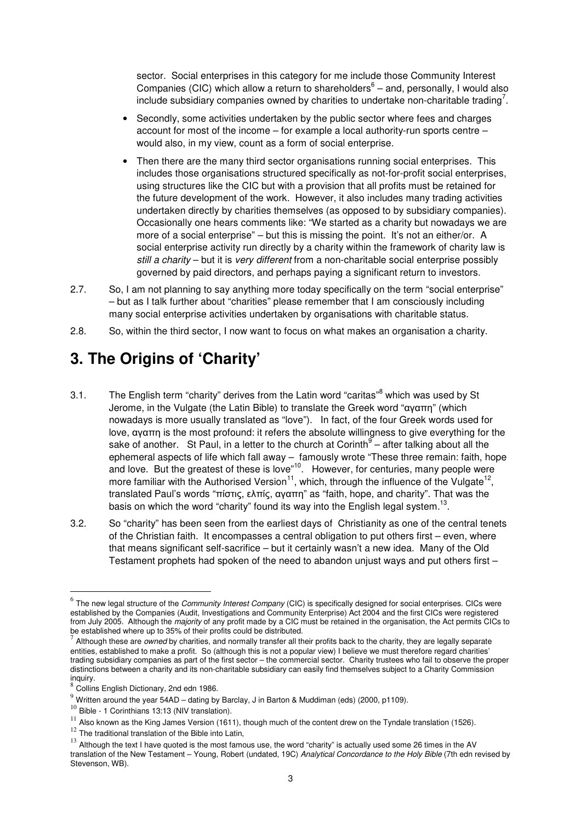sector. Social enterprises in this category for me include those Community Interest Companies (CIC) which allow a return to shareholders<sup>6</sup> – and, personally, I would also include subsidiary companies owned by charities to undertake non-charitable trading<sup>7</sup>.

- Secondly, some activities undertaken by the public sector where fees and charges account for most of the income – for example a local authority-run sports centre – would also, in my view, count as a form of social enterprise.
- Then there are the many third sector organisations running social enterprises. This includes those organisations structured specifically as not-for-profit social enterprises, using structures like the CIC but with a provision that all profits must be retained for the future development of the work. However, it also includes many trading activities undertaken directly by charities themselves (as opposed to by subsidiary companies). Occasionally one hears comments like: "We started as a charity but nowadays we are more of a social enterprise" – but this is missing the point. It's not an either/or. A social enterprise activity run directly by a charity within the framework of charity law is *still a charity* – but it is *very different* from a non-charitable social enterprise possibly governed by paid directors, and perhaps paying a significant return to investors.
- 2.7. So, I am not planning to say anything more today specifically on the term "social enterprise" – but as I talk further about "charities" please remember that I am consciously including many social enterprise activities undertaken by organisations with charitable status.
- 2.8. So, within the third sector, I now want to focus on what makes an organisation a charity.

### **3. The Origins of 'Charity'**

- 3.1. The English term "charity" derives from the Latin word "caritas"<sup>8</sup> which was used by St Jerome, in the Vulgate (the Latin Bible) to translate the Greek word "αγαπη" (which nowadays is more usually translated as "love"). In fact, of the four Greek words used for love, αγαπη is the most profound: it refers the absolute willingness to give everything for the sake of another. St Paul, in a letter to the church at Corinth $9-$  after talking about all the ephemeral aspects of life which fall away – famously wrote "These three remain: faith, hope and love. But the greatest of these is love"<sup>10</sup>. However, for centuries, many people were more familiar with the Authorised Version<sup>11</sup>, which, through the influence of the Vulgate<sup>12</sup>, translated Paul's words "πίστις, ελπίς, αγαπη" as "faith, hope, and charity". That was the basis on which the word "charity" found its way into the English legal system.<sup>13</sup>.
- 3.2. So "charity" has been seen from the earliest days of Christianity as one of the central tenets of the Christian faith. It encompasses a central obligation to put others first – even, where that means significant self-sacrifice – but it certainly wasn't a new idea. Many of the Old Testament prophets had spoken of the need to abandon unjust ways and put others first –

 $\overline{a}$ 

 $10$  Bible - 1 Corinthians 13:13 (NIV translation).

 $12$  The traditional translation of the Bible into Latin,

<sup>&</sup>lt;sup>6</sup> The new legal structure of the *Community Interest Company* (CIC) is specifically designed for social enterprises. CICs were established by the Companies (Audit, Investigations and Community Enterprise) Act 2004 and the first CICs were registered from July 2005. Although the *majority* of any profit made by a CIC must be retained in the organisation, the Act permits CICs to be established where up to 35% of their profits could be distributed.<br>7

Although these are *owned* by charities, and normally transfer all their profits back to the charity, they are legally separate entities, established to make a profit. So (although this is not a popular view) I believe we must therefore regard charities' trading subsidiary companies as part of the first sector – the commercial sector. Charity trustees who fail to observe the proper distinctions between a charity and its non-charitable subsidiary can easily find themselves subject to a Charity Commission inquiry.

<sup>8</sup> Collins English Dictionary, 2nd edn 1986.

 $9$  Written around the year 54AD – dating by Barclay, J in Barton & Muddiman (eds) (2000, p1109).

 $11$  Also known as the King James Version (1611), though much of the content drew on the Tyndale translation (1526).

 $13$  Although the text I have quoted is the most famous use, the word "charity" is actually used some 26 times in the AV translation of the New Testament – Young, Robert (undated, 19C) *Analytical Concordance to the Holy Bible* (7th edn revised by Stevenson, WB).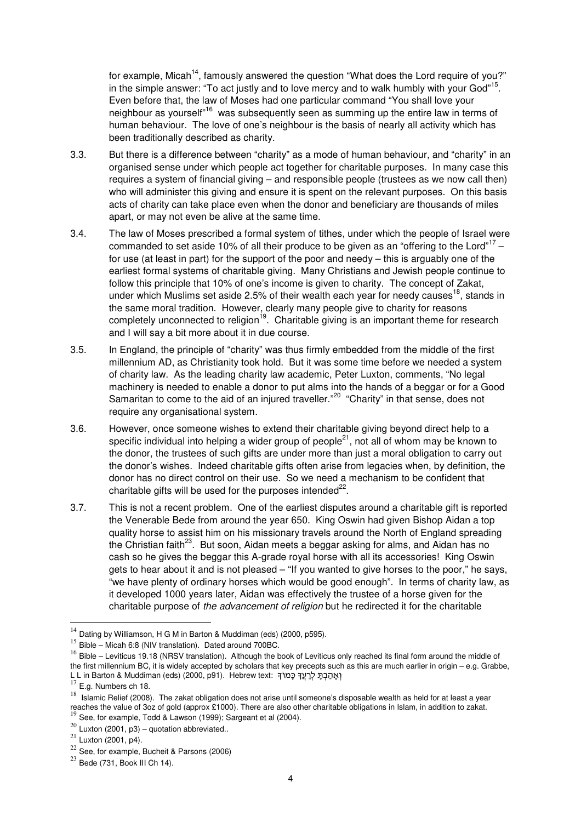for example, Micah<sup>14</sup>, famously answered the question "What does the Lord require of you?" in the simple answer: "To act justly and to love mercy and to walk humbly with your God"<sup>15</sup>. Even before that, the law of Moses had one particular command "You shall love your neighbour as yourself<sup>"16</sup> was subsequently seen as summing up the entire law in terms of human behaviour. The love of one's neighbour is the basis of nearly all activity which has been traditionally described as charity.

- 3.3. But there is a difference between "charity" as a mode of human behaviour, and "charity" in an organised sense under which people act together for charitable purposes. In many case this requires a system of financial giving – and responsible people (trustees as we now call then) who will administer this giving and ensure it is spent on the relevant purposes. On this basis acts of charity can take place even when the donor and beneficiary are thousands of miles apart, or may not even be alive at the same time.
- 3.4. The law of Moses prescribed a formal system of tithes, under which the people of Israel were commanded to set aside 10% of all their produce to be given as an "offering to the Lord"<sup>17</sup> for use (at least in part) for the support of the poor and needy – this is arguably one of the earliest formal systems of charitable giving. Many Christians and Jewish people continue to follow this principle that 10% of one's income is given to charity. The concept of Zakat, under which Muslims set aside 2.5% of their wealth each year for needy causes<sup>18</sup>, stands in the same moral tradition. However, clearly many people give to charity for reasons completely unconnected to religion<sup>19</sup>. Charitable giving is an important theme for research and I will say a bit more about it in due course.
- 3.5. In England, the principle of "charity" was thus firmly embedded from the middle of the first millennium AD, as Christianity took hold. But it was some time before we needed a system of charity law. As the leading charity law academic, Peter Luxton, comments, "No legal machinery is needed to enable a donor to put alms into the hands of a beggar or for a Good Samaritan to come to the aid of an injured traveller."<sup>20</sup> "Charity" in that sense, does not require any organisational system.
- 3.6. However, once someone wishes to extend their charitable giving beyond direct help to a specific individual into helping a wider group of people<sup>21</sup>, not all of whom may be known to the donor, the trustees of such gifts are under more than just a moral obligation to carry out the donor's wishes. Indeed charitable gifts often arise from legacies when, by definition, the donor has no direct control on their use. So we need a mechanism to be confident that charitable gifts will be used for the purposes intended $^{22}$ .
- 3.7. This is not a recent problem. One of the earliest disputes around a charitable gift is reported the Venerable Bede from around the year 650. King Oswin had given Bishop Aidan a top quality horse to assist him on his missionary travels around the North of England spreading the Christian faith<sup>23</sup>. But soon, Aidan meets a beggar asking for alms, and Aidan has no cash so he gives the beggar this A-grade royal horse with all its accessories! King Oswin gets to hear about it and is not pleased – "If you wanted to give horses to the poor," he says, "we have plenty of ordinary horses which would be good enough". In terms of charity law, as it developed 1000 years later, Aidan was effectively the trustee of a horse given for the charitable purpose of *the advancement of religion* but he redirected it for the charitable

<sup>&</sup>lt;sup>14</sup> Dating by Williamson, H G M in Barton & Muddiman (eds) (2000, p595).

<sup>15</sup> Bible – Micah 6:8 (NIV translation). Dated around 700BC.

<sup>&</sup>lt;sup>16</sup> Bible – Leviticus 19.18 (NRSV translation). Although the book of Leviticus only reached its final form around the middle of the first millennium BC, it is widely accepted by scholars that key precepts such as this are much earlier in origin – e.g. Grabbe, L L in Barton & Muddiman (eds) (2000, p91). Hebrew text: יְאֲהַבְּתֵ לְרָעֲךָ כָּמוֹךָ

 $^{17}$  E.g. Numbers ch 18.

<sup>&</sup>lt;sup>18</sup> Islamic Relief (2008). The zakat obligation does not arise until someone's disposable wealth as held for at least a year reaches the value of 3oz of gold (approx £1000). There are also other charitable obligations in Islam, in addition to zakat.<br><sup>19</sup> See, for example, Todd & Lawson (1999); Sargeant et al (2004).

 $^{20}$  Luxton (2001, p3) – quotation abbreviated..

 $^{21}$  Luxton (2001, p4).

<sup>22</sup> See, for example, Bucheit & Parsons (2006)

 $23$  Bede (731, Book III Ch 14).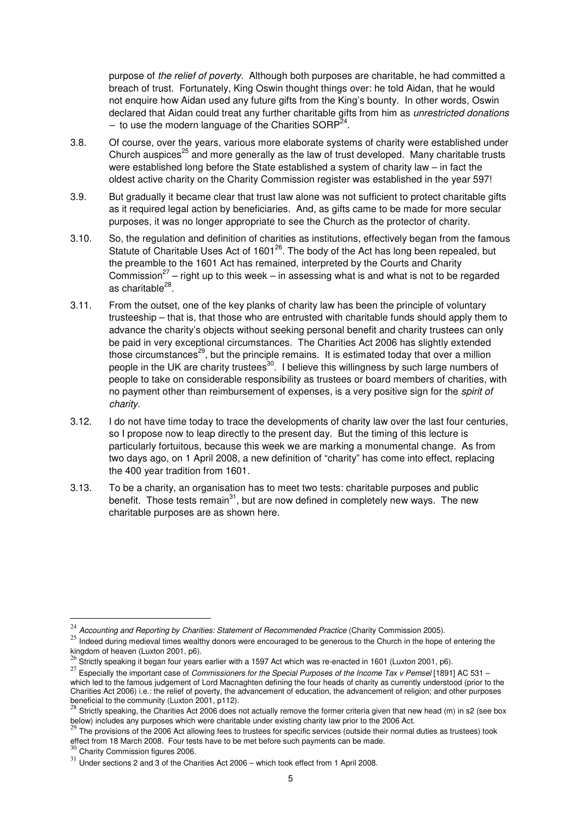purpose of *the relief of poverty*. Although both purposes are charitable, he had committed a breach of trust. Fortunately, King Oswin thought things over: he told Aidan, that he would not enquire how Aidan used any future gifts from the King's bounty. In other words, Oswin declared that Aidan could treat any further charitable gifts from him as *unrestricted donations*  - to use the modern language of the Charities SORP<sup>24</sup>.

- 3.8. Of course, over the years, various more elaborate systems of charity were established under Church auspices<sup>25</sup> and more generally as the law of trust developed. Many charitable trusts were established long before the State established a system of charity law – in fact the oldest active charity on the Charity Commission register was established in the year 597!
- 3.9. But gradually it became clear that trust law alone was not sufficient to protect charitable gifts as it required legal action by beneficiaries. And, as gifts came to be made for more secular purposes, it was no longer appropriate to see the Church as the protector of charity.
- 3.10. So, the regulation and definition of charities as institutions, effectively began from the famous Statute of Charitable Uses Act of  $1601^{26}$ . The body of the Act has long been repealed, but the preamble to the 1601 Act has remained, interpreted by the Courts and Charity Commission<sup>27</sup> – right up to this week – in assessing what is and what is not to be regarded as charitable<sup>28</sup>.
- 3.11. From the outset, one of the key planks of charity law has been the principle of voluntary trusteeship – that is, that those who are entrusted with charitable funds should apply them to advance the charity's objects without seeking personal benefit and charity trustees can only be paid in very exceptional circumstances. The Charities Act 2006 has slightly extended those circumstances<sup>29</sup>, but the principle remains. It is estimated today that over a million people in the UK are charity trustees<sup>30</sup>. I believe this willingness by such large numbers of people to take on considerable responsibility as trustees or board members of charities, with no payment other than reimbursement of expenses, is a very positive sign for the *spirit of charity*.
- 3.12. I do not have time today to trace the developments of charity law over the last four centuries, so I propose now to leap directly to the present day. But the timing of this lecture is particularly fortuitous, because this week we are marking a monumental change. As from two days ago, on 1 April 2008, a new definition of "charity" has come into effect, replacing the 400 year tradition from 1601.
- 3.13. To be a charity, an organisation has to meet two tests: charitable purposes and public benefit. Those tests remain<sup>31</sup>, but are now defined in completely new ways. The new charitable purposes are as shown here.

<sup>24</sup> *Accounting and Reporting by Charities: Statement of Recommended Practice* (Charity Commission 2005).

<sup>&</sup>lt;sup>25</sup> Indeed during medieval times wealthy donors were encouraged to be generous to the Church in the hope of entering the

kingdom of heaven (Luxton 2001, p6).<br><sup>26</sup> Strictly speaking it began four years earlier with a 1597 Act which was re-enacted in 1601 (Luxton 2001, p6).

<sup>27</sup> Especially the important case of *Commissioners for the Special Purposes of the Income Tax v Pemsel* [1891] AC 531 – which led to the famous judgement of Lord Macnaghten defining the four heads of charity as currently understood (prior to the Charities Act 2006) i.e.: the relief of poverty, the advancement of education, the advancement of religion; and other purposes beneficial to the community (Luxton 2001, p112).<br><sup>28</sup> Strictly speaking, the Charities Act 2006 does not actually remove the former criteria given that new head (m) in s2 (see box

below) includes any purposes which were charitable under existing charity law prior to the 2006 Act.

 $^{29}$  The provisions of the 2006 Act allowing fees to trustees for specific services (outside their normal duties as trustees) took effect from 18 March 2008. Four tests have to be met before such payments can be made.<br><sup>30</sup> Charity Commission figures 2006.

 $31$  Under sections 2 and 3 of the Charities Act 2006 – which took effect from 1 April 2008.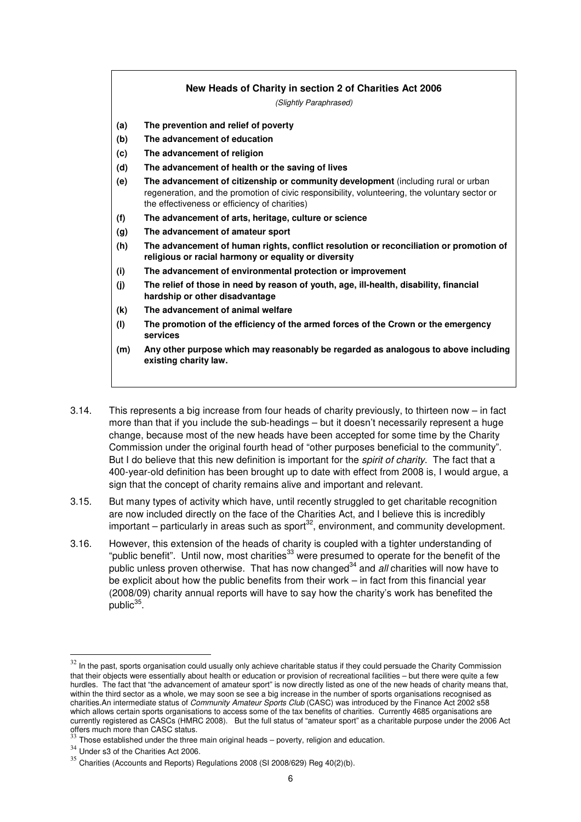#### **New Heads of Charity in section 2 of Charities Act 2006**

*(Slightly Paraphrased)* 

- **(a) The prevention and relief of poverty**
- **(b) The advancement of education**
- **(c) The advancement of religion**
- **(d) The advancement of health or the saving of lives**
- **(e) The advancement of citizenship or community development** (including rural or urban regeneration, and the promotion of civic responsibility, volunteering, the voluntary sector or the effectiveness or efficiency of charities)
- **(f) The advancement of arts, heritage, culture or science**
- **(g) The advancement of amateur sport**
- **(h) The advancement of human rights, conflict resolution or reconciliation or promotion of religious or racial harmony or equality or diversity**
- **(i) The advancement of environmental protection or improvement**
- **(j) The relief of those in need by reason of youth, age, ill-health, disability, financial hardship or other disadvantage**
- **(k) The advancement of animal welfare**
- **(l) The promotion of the efficiency of the armed forces of the Crown or the emergency services**
- **(m) Any other purpose which may reasonably be regarded as analogous to above including existing charity law.**
- 3.14. This represents a big increase from four heads of charity previously, to thirteen now in fact more than that if you include the sub-headings – but it doesn't necessarily represent a huge change, because most of the new heads have been accepted for some time by the Charity Commission under the original fourth head of "other purposes beneficial to the community". But I do believe that this new definition is important for the *spirit of charity*. The fact that a 400-year-old definition has been brought up to date with effect from 2008 is, I would argue, a sign that the concept of charity remains alive and important and relevant.
- 3.15. But many types of activity which have, until recently struggled to get charitable recognition are now included directly on the face of the Charities Act, and I believe this is incredibly important – particularly in areas such as sport<sup>32</sup>, environment, and community development.
- 3.16. However, this extension of the heads of charity is coupled with a tighter understanding of "public benefit". Until now, most charities<sup>33</sup> were presumed to operate for the benefit of the public unless proven otherwise. That has now changed<sup>34</sup> and *all* charities will now have to be explicit about how the public benefits from their work – in fact from this financial year (2008/09) charity annual reports will have to say how the charity's work has benefited the public<sup>35</sup>.

 $32$  In the past, sports organisation could usually only achieve charitable status if they could persuade the Charity Commission that their objects were essentially about health or education or provision of recreational facilities – but there were quite a few hurdles. The fact that "the advancement of amateur sport" is now directly listed as one of the new heads of charity means that, within the third sector as a whole, we may soon se see a big increase in the number of sports organisations recognised as charities.An intermediate status of *Community Amateur Sports Club* (CASC) was introduced by the Finance Act 2002 s58 which allows certain sports organisations to access some of the tax benefits of charities. Currently 4685 organisations are currently registered as CASCs (HMRC 2008). But the full status of "amateur sport" as a charitable purpose under the 2006 Act

offers much more than CASC status.<br><sup>33</sup> Those established under the three main original heads – poverty, religion and education.

<sup>&</sup>lt;sup>34</sup> Under s3 of the Charities Act 2006.

 $35$  Charities (Accounts and Reports) Regulations 2008 (SI 2008/629) Reg 40(2)(b).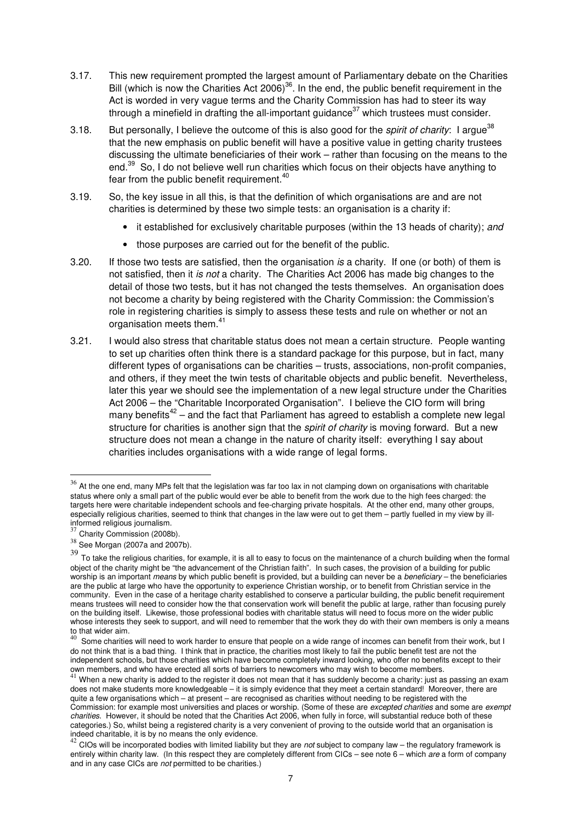- 3.17. This new requirement prompted the largest amount of Parliamentary debate on the Charities Bill (which is now the Charities Act 2006)<sup>36</sup>. In the end, the public benefit requirement in the Act is worded in very vague terms and the Charity Commission has had to steer its way through a minefield in drafting the all-important guidance<sup>37</sup> which trustees must consider.
- 3.18. But personally, I believe the outcome of this is also good for the *spirit of charity*: I argue<sup>38</sup> that the new emphasis on public benefit will have a positive value in getting charity trustees discussing the ultimate beneficiaries of their work – rather than focusing on the means to the end.<sup>39</sup> So, I do not believe well run charities which focus on their objects have anything to fear from the public benefit requirement.<sup>40</sup>
- 3.19. So, the key issue in all this, is that the definition of which organisations are and are not charities is determined by these two simple tests: an organisation is a charity if:
	- it established for exclusively charitable purposes (within the 13 heads of charity); *and*
	- those purposes are carried out for the benefit of the public.
- 3.20. If those two tests are satisfied, then the organisation *is* a charity. If one (or both) of them is not satisfied, then it *is not* a charity. The Charities Act 2006 has made big changes to the detail of those two tests, but it has not changed the tests themselves. An organisation does not become a charity by being registered with the Charity Commission: the Commission's role in registering charities is simply to assess these tests and rule on whether or not an organisation meets them.<sup>41</sup>
- 3.21. I would also stress that charitable status does not mean a certain structure. People wanting to set up charities often think there is a standard package for this purpose, but in fact, many different types of organisations can be charities – trusts, associations, non-profit companies, and others, if they meet the twin tests of charitable objects and public benefit. Nevertheless, later this year we should see the implementation of a new legal structure under the Charities Act 2006 – the "Charitable Incorporated Organisation". I believe the CIO form will bring many benefits<sup>42</sup> – and the fact that Parliament has agreed to establish a complete new legal structure for charities is another sign that the *spirit of charity* is moving forward. But a new structure does not mean a change in the nature of charity itself: everything I say about charities includes organisations with a wide range of legal forms.

<sup>&</sup>lt;sup>36</sup> At the one end, many MPs felt that the legislation was far too lax in not clamping down on organisations with charitable status where only a small part of the public would ever be able to benefit from the work due to the high fees charged: the targets here were charitable independent schools and fee-charging private hospitals. At the other end, many other groups, especially religious charities, seemed to think that changes in the law were out to get them – partly fuelled in my view by illinformed religious journalism.

<sup>&</sup>lt;sup>37</sup> Charity Commission (2008b).

 $38$  See Morgan (2007a and 2007b).

<sup>39</sup> To take the religious charities, for example, it is all to easy to focus on the maintenance of a church building when the formal object of the charity might be "the advancement of the Christian faith". In such cases, the provision of a building for public worship is an important *means* by which public benefit is provided, but a building can never be a *beneficiary* – the beneficiaries are the public at large who have the opportunity to experience Christian worship, or to benefit from Christian service in the community. Even in the case of a heritage charity established to conserve a particular building, the public benefit requirement means trustees will need to consider how the that conservation work will benefit the public at large, rather than focusing purely on the building itself. Likewise, those professional bodies with charitable status will need to focus more on the wider public whose interests they seek to support, and will need to remember that the work they do with their own members is only a means to that wider aim.

Some charities will need to work harder to ensure that people on a wide range of incomes can benefit from their work, but I do not think that is a bad thing. I think that in practice, the charities most likely to fail the public benefit test are not the independent schools, but those charities which have become completely inward looking, who offer no benefits except to their

own members, and who have erected all sorts of barriers to newcomers who may wish to become members.<br><sup>41</sup> When a new charity is added to the register it does not mean that it has suddenly become a charity: just as passing does not make students more knowledgeable – it is simply evidence that they meet a certain standard! Moreover, there are quite a few organisations which – at present – are recognised as charities without needing to be registered with the Commission: for example most universities and places or worship. (Some of these are *excepted charities* and some are *exempt charities*. However, it should be noted that the Charities Act 2006, when fully in force, will substantial reduce both of these categories.) So, whilst being a registered charity is a very convenient of proving to the outside world that an organisation is indeed charitable, it is by no means the only evidence.

<sup>42</sup> CIOs will be incorporated bodies with limited liability but they are *not* subject to company law – the regulatory framework is entirely within charity law. (In this respect they are completely different from CICs – see note 6 – which *are* a form of company and in any case CICs are *not* permitted to be charities*.*)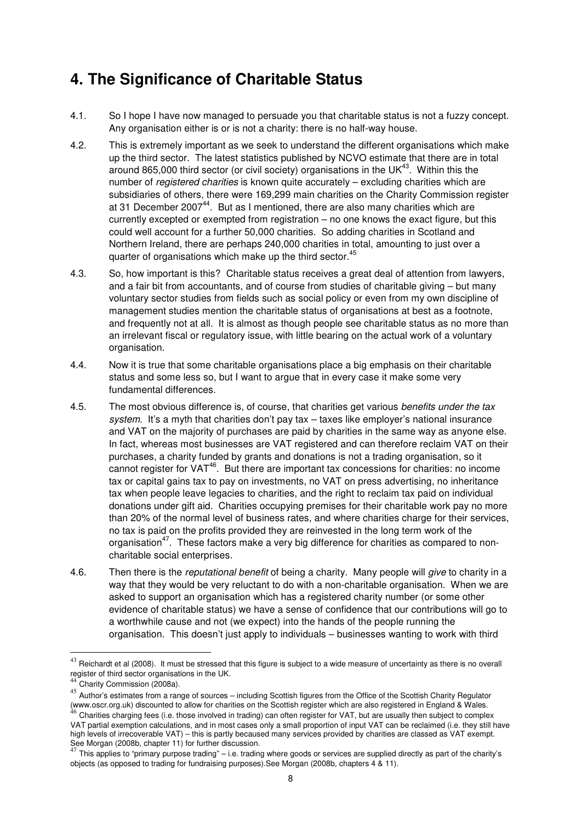#### **4. The Significance of Charitable Status**

- 4.1. So I hope I have now managed to persuade you that charitable status is not a fuzzy concept. Any organisation either is or is not a charity: there is no half-way house.
- 4.2. This is extremely important as we seek to understand the different organisations which make up the third sector. The latest statistics published by NCVO estimate that there are in total around 865,000 third sector (or civil society) organisations in the UK $43$ . Within this the number of *registered charities* is known quite accurately – excluding charities which are subsidiaries of others, there were 169,299 main charities on the Charity Commission register at 31 December 2007<sup>44</sup>. But as I mentioned, there are also many charities which are currently excepted or exempted from registration – no one knows the exact figure, but this could well account for a further 50,000 charities. So adding charities in Scotland and Northern Ireland, there are perhaps 240,000 charities in total, amounting to just over a quarter of organisations which make up the third sector.<sup>45</sup>
- 4.3. So, how important is this? Charitable status receives a great deal of attention from lawyers, and a fair bit from accountants, and of course from studies of charitable giving – but many voluntary sector studies from fields such as social policy or even from my own discipline of management studies mention the charitable status of organisations at best as a footnote, and frequently not at all. It is almost as though people see charitable status as no more than an irrelevant fiscal or regulatory issue, with little bearing on the actual work of a voluntary organisation.
- 4.4. Now it is true that some charitable organisations place a big emphasis on their charitable status and some less so, but I want to argue that in every case it make some very fundamental differences.
- 4.5. The most obvious difference is, of course, that charities get various *benefits under the tax system*. It's a myth that charities don't pay tax – taxes like employer's national insurance and VAT on the majority of purchases are paid by charities in the same way as anyone else. In fact, whereas most businesses are VAT registered and can therefore reclaim VAT on their purchases, a charity funded by grants and donations is not a trading organisation, so it cannot register for VAT<sup>46</sup>. But there are important tax concessions for charities: no income tax or capital gains tax to pay on investments, no VAT on press advertising, no inheritance tax when people leave legacies to charities, and the right to reclaim tax paid on individual donations under gift aid. Charities occupying premises for their charitable work pay no more than 20% of the normal level of business rates, and where charities charge for their services, no tax is paid on the profits provided they are reinvested in the long term work of the organisation<sup>47</sup>. These factors make a very big difference for charities as compared to noncharitable social enterprises.
- 4.6. Then there is the *reputational benefit* of being a charity. Many people will *give* to charity in a way that they would be very reluctant to do with a non-charitable organisation. When we are asked to support an organisation which has a registered charity number (or some other evidence of charitable status) we have a sense of confidence that our contributions will go to a worthwhile cause and not (we expect) into the hands of the people running the organisation. This doesn't just apply to individuals – businesses wanting to work with third

 $43$  Reichardt et al (2008). It must be stressed that this figure is subject to a wide measure of uncertainty as there is no overall register of third sector organisations in the UK. <sup>44</sup> Charity Commission (2008a).

Author's estimates from a range of sources – including Scottish figures from the Office of the Scottish Charity Regulator (www.oscr.org.uk) discounted to allow for charities on the Scottish register which are also registered in England & Wales.<br><sup>46</sup> Charities charging fees (i.e. those involved in trading) can often register for VAT, but are u

VAT partial exemption calculations, and in most cases only a small proportion of input VAT can be reclaimed (i.e. they still have high levels of irrecoverable VAT) – this is partly becaused many services provided by charities are classed as VAT exempt. See Morgan (2008b, chapter 11) for further discussion.

<sup>47</sup> This applies to "primary purpose trading" – i.e. trading where goods or services are supplied directly as part of the charity's objects (as opposed to trading for fundraising purposes).See Morgan (2008b, chapters 4 & 11).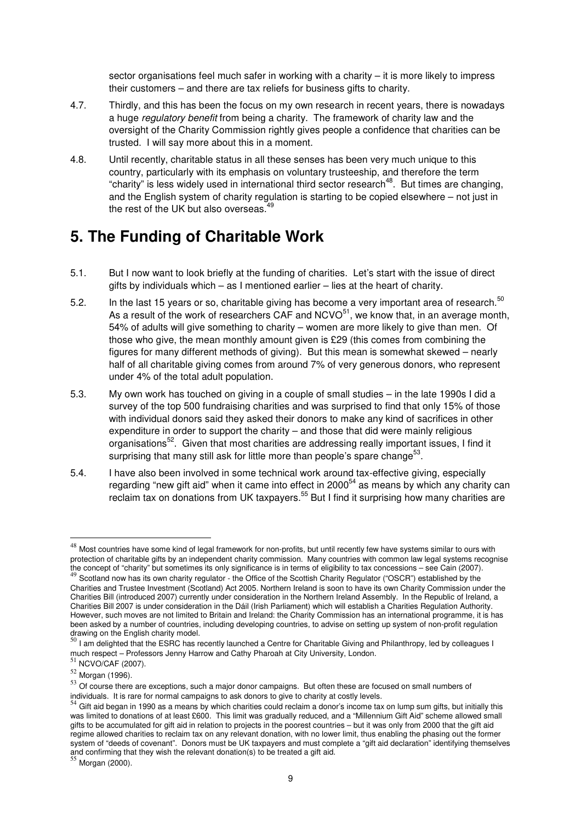sector organisations feel much safer in working with a charity – it is more likely to impress their customers – and there are tax reliefs for business gifts to charity.

- 4.7. Thirdly, and this has been the focus on my own research in recent years, there is nowadays a huge *regulatory benefit* from being a charity. The framework of charity law and the oversight of the Charity Commission rightly gives people a confidence that charities can be trusted. I will say more about this in a moment.
- 4.8. Until recently, charitable status in all these senses has been very much unique to this country, particularly with its emphasis on voluntary trusteeship, and therefore the term "charity" is less widely used in international third sector research<sup>48</sup>. But times are changing, and the English system of charity regulation is starting to be copied elsewhere – not just in the rest of the UK but also overseas. $49$

#### **5. The Funding of Charitable Work**

- 5.1. But I now want to look briefly at the funding of charities. Let's start with the issue of direct gifts by individuals which  $-$  as I mentioned earlier  $-$  lies at the heart of charity.
- 5.2. In the last 15 years or so, charitable giving has become a very important area of research.<sup>50</sup> As a result of the work of researchers CAF and  $NCVO<sup>51</sup>$ , we know that, in an average month, 54% of adults will give something to charity – women are more likely to give than men. Of those who give, the mean monthly amount given is £29 (this comes from combining the figures for many different methods of giving). But this mean is somewhat skewed – nearly half of all charitable giving comes from around 7% of very generous donors, who represent under 4% of the total adult population.
- 5.3. My own work has touched on giving in a couple of small studies in the late 1990s I did a survey of the top 500 fundraising charities and was surprised to find that only 15% of those with individual donors said they asked their donors to make any kind of sacrifices in other expenditure in order to support the charity – and those that did were mainly religious organisations<sup>52</sup>. Given that most charities are addressing really important issues, I find it surprising that many still ask for little more than people's spare change $^{53}$ .
- 5.4. I have also been involved in some technical work around tax-effective giving, especially regarding "new gift aid" when it came into effect in  $2000^{54}$  as means by which any charity can reclaim tax on donations from UK taxpayers.<sup>55</sup> But I find it surprising how many charities are

<sup>48</sup> Most countries have some kind of legal framework for non-profits, but until recently few have systems similar to ours with protection of charitable gifts by an independent charity commission. Many countries with common law legal systems recognise the concept of "charity" but sometimes its only significance is in terms of eligibility to tax concessions – see Cain (2007).<br><sup>49</sup> Scotland now has its own charity regulator - the Office of the Scottish Charity Regulator ( Charities and Trustee Investment (Scotland) Act 2005. Northern Ireland is soon to have its own Charity Commission under the Charities Bill (introduced 2007) currently under consideration in the Northern Ireland Assembly. In the Republic of Ireland, a Charities Bill 2007 is under consideration in the Dáil (Irish Parliament) which will establish a Charities Regulation Authority. However, such moves are not limited to Britain and Ireland: the Charity Commission has an international programme, it is has been asked by a number of countries, including developing countries, to advise on setting up system of non-profit regulation

drawing on the English charity model.<br><sup>50</sup> I am delighted that the ESRC has recently launched a Centre for Charitable Giving and Philanthropy, led by colleagues I much respect – Professors Jenny Harrow and Cathy Pharoah at City University, London.<br><sup>51</sup> NCVO/CAF (2007).

<sup>52</sup> Morgan (1996).

Salt (1999).<br>
53 Of course there are exceptions, such a major donor campaigns. But often these are focused on small numbers of

individuals. It is rare for normal campaigns to ask donors to give to charity at costly levels.<br><sup>54</sup> Gift aid began in 1990 as a means by which charities could reclaim a donor's income tax on lump sum gifts, but initially was limited to donations of at least £600. This limit was gradually reduced, and a "Millennium Gift Aid" scheme allowed small gifts to be accumulated for gift aid in relation to projects in the poorest countries – but it was only from 2000 that the gift aid regime allowed charities to reclaim tax on any relevant donation, with no lower limit, thus enabling the phasing out the former system of "deeds of covenant". Donors must be UK taxpayers and must complete a "gift aid declaration" identifying themselves and confirming that they wish the relevant donation(s) to be treated a gift aid.<br><sup>55</sup> Morgan (2000).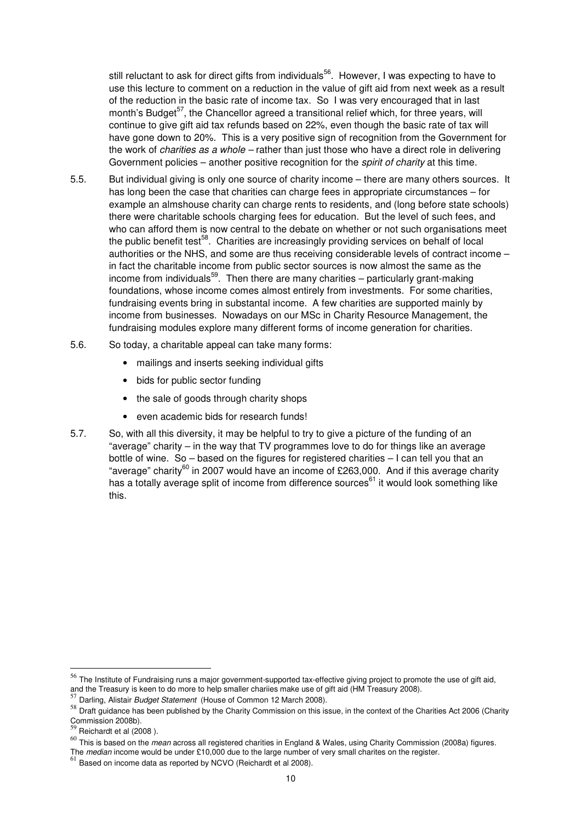still reluctant to ask for direct gifts from individuals<sup>56</sup>. However, I was expecting to have to use this lecture to comment on a reduction in the value of gift aid from next week as a result of the reduction in the basic rate of income tax. So I was very encouraged that in last month's Budget<sup>57</sup>, the Chancellor agreed a transitional relief which, for three years, will continue to give gift aid tax refunds based on 22%, even though the basic rate of tax will have gone down to 20%. This is a very positive sign of recognition from the Government for the work of *charities as a whole –* rather than just those who have a direct role in delivering Government policies – another positive recognition for the *spirit of charity* at this time.

- 5.5. But individual giving is only one source of charity income there are many others sources. It has long been the case that charities can charge fees in appropriate circumstances – for example an almshouse charity can charge rents to residents, and (long before state schools) there were charitable schools charging fees for education. But the level of such fees, and who can afford them is now central to the debate on whether or not such organisations meet the public benefit test<sup>58</sup>. Charities are increasingly providing services on behalf of local authorities or the NHS, and some are thus receiving considerable levels of contract income – in fact the charitable income from public sector sources is now almost the same as the income from individuals<sup>59</sup>. Then there are many charities  $-$  particularly grant-making foundations, whose income comes almost entirely from investments. For some charities, fundraising events bring in substantal income. A few charities are supported mainly by income from businesses. Nowadays on our MSc in Charity Resource Management, the fundraising modules explore many different forms of income generation for charities.
- 5.6. So today, a charitable appeal can take many forms:
	- mailings and inserts seeking individual gifts
	- bids for public sector funding
	- the sale of goods through charity shops
	- even academic bids for research funds!
- 5.7. So, with all this diversity, it may be helpful to try to give a picture of the funding of an "average" charity – in the way that TV programmes love to do for things like an average bottle of wine. So – based on the figures for registered charities – I can tell you that an "average" charity<sup>60</sup> in 2007 would have an income of £263,000. And if this average charity has a totally average split of income from difference sources $61$  it would look something like this.

<sup>&</sup>lt;sup>56</sup> The Institute of Fundraising runs a major government-supported tax-effective giving project to promote the use of gift aid, and the Treasury is keen to do more to help smaller chariies make use of gift aid (HM Treasury 2008).

<sup>57</sup> Darling, Alistair *Budget Statement* (House of Common 12 March 2008).

<sup>58</sup> Draft guidance has been published by the Charity Commission on this issue, in the context of the Charities Act 2006 (Charity Commission 2008b).

 $59$  Reichardt et al (2008).

<sup>60</sup> This is based on the *mean* across all registered charities in England & Wales, using Charity Commission (2008a) figures.

The *median* income would be under £10,000 due to the large number of very small charites on the register.

 $61$  Based on income data as reported by NCVO (Reichardt et al 2008).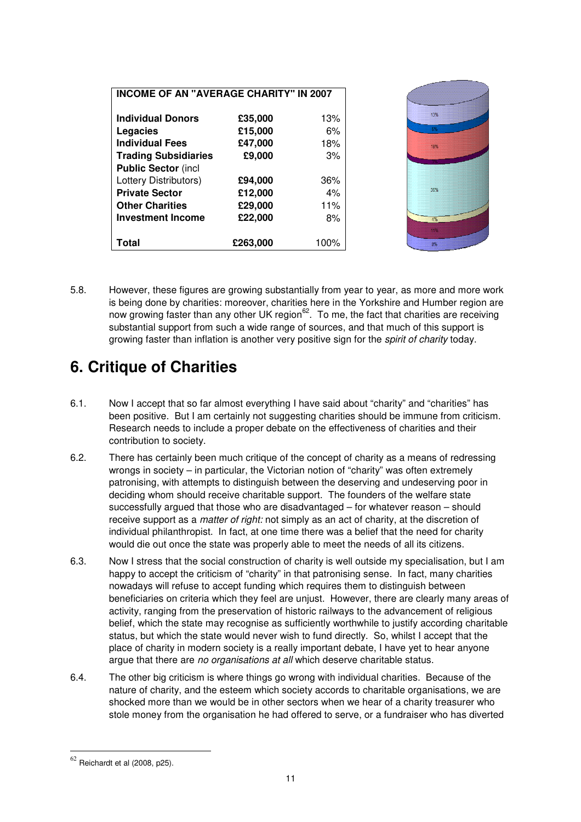| Total                       | £263,000 | 100% | 11%<br>8% |
|-----------------------------|----------|------|-----------|
| <b>Investment Income</b>    | £22,000  | 8%   | 4%        |
| <b>Other Charities</b>      | £29,000  | 11%  |           |
| <b>Private Sector</b>       | £12,000  | 4%   | 36%       |
| Lottery Distributors)       | £94,000  | 36%  |           |
| <b>Public Sector (incl</b>  |          |      |           |
| <b>Trading Subsidiaries</b> | £9,000   | 3%   |           |
| <b>Individual Fees</b>      | £47,000  | 18%  | 18%       |
| Legacies                    | £15,000  | 6%   | 6%        |
| <b>Individual Donors</b>    | £35,000  | 13%  | 13%       |

5.8. However, these figures are growing substantially from year to year, as more and more work is being done by charities: moreover, charities here in the Yorkshire and Humber region are now growing faster than any other UK region<sup>62</sup>. To me, the fact that charities are receiving substantial support from such a wide range of sources, and that much of this support is growing faster than inflation is another very positive sign for the *spirit of charity* today.

#### **6. Critique of Charities**

- 6.1. Now I accept that so far almost everything I have said about "charity" and "charities" has been positive. But I am certainly not suggesting charities should be immune from criticism. Research needs to include a proper debate on the effectiveness of charities and their contribution to society.
- 6.2. There has certainly been much critique of the concept of charity as a means of redressing wrongs in society – in particular, the Victorian notion of "charity" was often extremely patronising, with attempts to distinguish between the deserving and undeserving poor in deciding whom should receive charitable support. The founders of the welfare state successfully argued that those who are disadvantaged – for whatever reason – should receive support as a *matter of right:* not simply as an act of charity, at the discretion of individual philanthropist. In fact, at one time there was a belief that the need for charity would die out once the state was properly able to meet the needs of all its citizens.
- 6.3. Now I stress that the social construction of charity is well outside my specialisation, but I am happy to accept the criticism of "charity" in that patronising sense. In fact, many charities nowadays will refuse to accept funding which requires them to distinguish between beneficiaries on criteria which they feel are unjust. However, there are clearly many areas of activity, ranging from the preservation of historic railways to the advancement of religious belief, which the state may recognise as sufficiently worthwhile to justify according charitable status, but which the state would never wish to fund directly. So, whilst I accept that the place of charity in modern society is a really important debate, I have yet to hear anyone argue that there are *no organisations at all* which deserve charitable status.
- 6.4. The other big criticism is where things go wrong with individual charities. Because of the nature of charity, and the esteem which society accords to charitable organisations, we are shocked more than we would be in other sectors when we hear of a charity treasurer who stole money from the organisation he had offered to serve, or a fundraiser who has diverted

 $62$  Reichardt et al (2008, p25).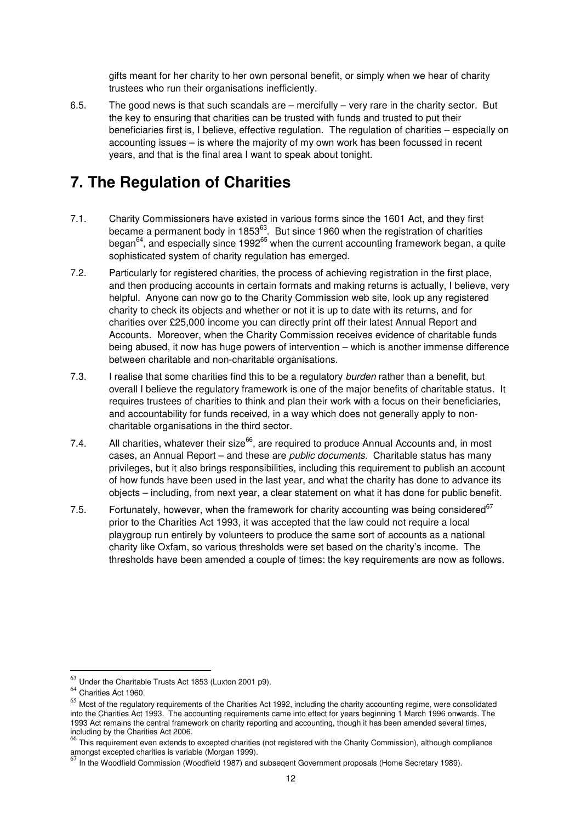gifts meant for her charity to her own personal benefit, or simply when we hear of charity trustees who run their organisations inefficiently.

6.5. The good news is that such scandals are – mercifully – very rare in the charity sector. But the key to ensuring that charities can be trusted with funds and trusted to put their beneficiaries first is, I believe, effective regulation. The regulation of charities – especially on accounting issues – is where the majority of my own work has been focussed in recent years, and that is the final area I want to speak about tonight.

#### **7. The Regulation of Charities**

- 7.1. Charity Commissioners have existed in various forms since the 1601 Act, and they first became a permanent body in 1853<sup>63</sup>. But since 1960 when the registration of charities began $^{64}$ , and especially since 1992 $^{65}$  when the current accounting framework began, a quite sophisticated system of charity regulation has emerged.
- 7.2. Particularly for registered charities, the process of achieving registration in the first place, and then producing accounts in certain formats and making returns is actually, I believe, very helpful. Anyone can now go to the Charity Commission web site, look up any registered charity to check its objects and whether or not it is up to date with its returns, and for charities over £25,000 income you can directly print off their latest Annual Report and Accounts. Moreover, when the Charity Commission receives evidence of charitable funds being abused, it now has huge powers of intervention – which is another immense difference between charitable and non-charitable organisations.
- 7.3. I realise that some charities find this to be a regulatory *burden* rather than a benefit, but overall I believe the regulatory framework is one of the major benefits of charitable status. It requires trustees of charities to think and plan their work with a focus on their beneficiaries, and accountability for funds received, in a way which does not generally apply to noncharitable organisations in the third sector.
- 7.4. All charities, whatever their size<sup>66</sup>, are required to produce Annual Accounts and, in most cases, an Annual Report – and these are *public documents.* Charitable status has many privileges, but it also brings responsibilities, including this requirement to publish an account of how funds have been used in the last year, and what the charity has done to advance its objects – including, from next year, a clear statement on what it has done for public benefit.
- 7.5. Fortunately, however, when the framework for charity accounting was being considered<sup>67</sup> prior to the Charities Act 1993, it was accepted that the law could not require a local playgroup run entirely by volunteers to produce the same sort of accounts as a national charity like Oxfam, so various thresholds were set based on the charity's income. The thresholds have been amended a couple of times: the key requirements are now as follows.

 $63$  Under the Charitable Trusts Act 1853 (Luxton 2001 p9).

<sup>64</sup> Charities Act 1960.

 $65$  Most of the regulatory requirements of the Charities Act 1992, including the charity accounting regime, were consolidated into the Charities Act 1993. The accounting requirements came into effect for years beginning 1 March 1996 onwards. The 1993 Act remains the central framework on charity reporting and accounting, though it has been amended several times, including by the Charities Act 2006.

<sup>66</sup> This requirement even extends to excepted charities (not registered with the Charity Commission), although compliance

amongst excepted charities is variable (Morgan 1999).<br><sup>67</sup> In the Woodfield Commission (Woodfield 1987) and subseqent Government proposals (Home Secretary 1989).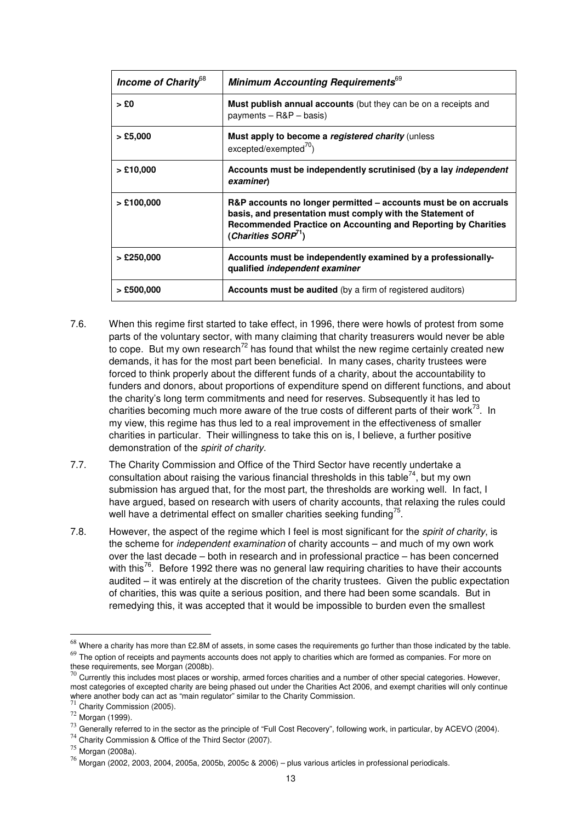| Income of Charity <sup>68</sup> | Minimum Accounting Requirements <sup>69</sup>                                                                                                                                                                              |  |
|---------------------------------|----------------------------------------------------------------------------------------------------------------------------------------------------------------------------------------------------------------------------|--|
| $>$ £0                          | <b>Must publish annual accounts</b> (but they can be on a receipts and<br>payments $-$ R&P $-$ basis)                                                                                                                      |  |
| $>$ £5,000                      | Must apply to become a registered charity (unless<br>$excepted/exempted70$ )                                                                                                                                               |  |
| $>$ £10,000                     | Accounts must be independently scrutinised (by a lay independent<br>examiner)                                                                                                                                              |  |
| $>$ £100,000                    | R&P accounts no longer permitted – accounts must be on accruals<br>basis, and presentation must comply with the Statement of<br>Recommended Practice on Accounting and Reporting by Charities<br>(Charities SORP $^{71}$ ) |  |
| $>$ £250,000                    | Accounts must be independently examined by a professionally-<br>qualified independent examiner                                                                                                                             |  |
| $>$ £500,000                    | <b>Accounts must be audited</b> (by a firm of registered auditors)                                                                                                                                                         |  |

- 7.6. When this regime first started to take effect, in 1996, there were howls of protest from some parts of the voluntary sector, with many claiming that charity treasurers would never be able to cope. But my own research<sup>72</sup> has found that whilst the new regime certainly created new demands, it has for the most part been beneficial. In many cases, charity trustees were forced to think properly about the different funds of a charity, about the accountability to funders and donors, about proportions of expenditure spend on different functions, and about the charity's long term commitments and need for reserves. Subsequently it has led to charities becoming much more aware of the true costs of different parts of their work $^{73}$ . In my view, this regime has thus led to a real improvement in the effectiveness of smaller charities in particular. Their willingness to take this on is, I believe, a further positive demonstration of the *spirit of charity*.
- 7.7. The Charity Commission and Office of the Third Sector have recently undertake a consultation about raising the various financial thresholds in this table<sup>74</sup>, but my own submission has argued that, for the most part, the thresholds are working well. In fact, I have argued, based on research with users of charity accounts, that relaxing the rules could well have a detrimental effect on smaller charities seeking funding<sup>75</sup>.
- 7.8. However, the aspect of the regime which I feel is most significant for the *spirit of charity*, is the scheme for *independent examination* of charity accounts – and much of my own work over the last decade – both in research and in professional practice – has been concerned with this<sup>76</sup>. Before 1992 there was no general law requiring charities to have their accounts audited – it was entirely at the discretion of the charity trustees. Given the public expectation of charities, this was quite a serious position, and there had been some scandals. But in remedying this, it was accepted that it would be impossible to burden even the smallest

 $^{68}$  Where a charity has more than £2.8M of assets, in some cases the requirements go further than those indicated by the table.  $69$  The option of receipts and payments accounts does not apply to charities which are formed as companies. For more on these requirements, see Morgan (2008b).

 $^{70}$  Currently this includes most places or worship, armed forces charities and a number of other special categories. However, most categories of excepted charity are being phased out under the Charities Act 2006, and exempt charities will only continue where another body can act as "main regulator" similar to the Charity Commission.<br><sup>71</sup> Charity Commission (2005).

<sup>72</sup> Morgan (1999).

 $^{73}$  Generally referred to in the sector as the principle of "Full Cost Recovery", following work, in particular, by ACEVO (2004).

<sup>74</sup> Charity Commission & Office of the Third Sector (2007).

<sup>75</sup> Morgan (2008a).

 $76$  Morgan (2002, 2003, 2004, 2005a, 2005b, 2005c & 2006) – plus various articles in professional periodicals.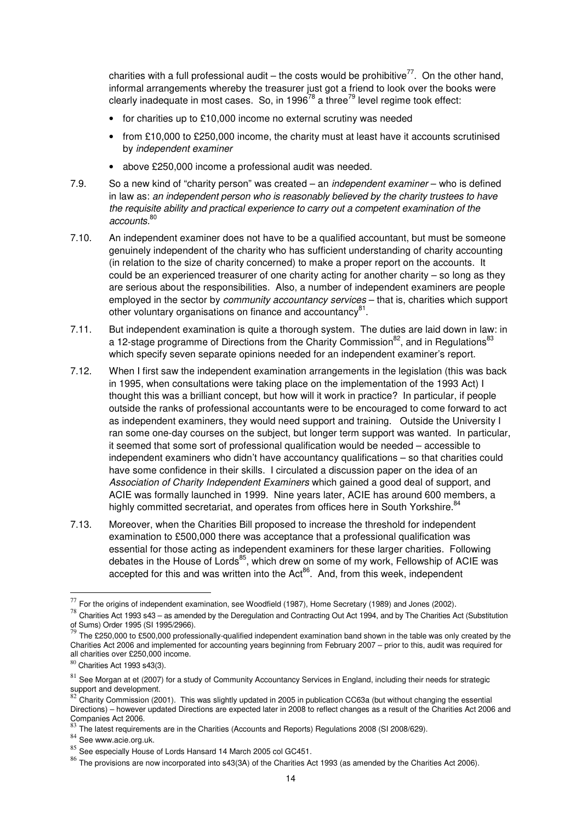charities with a full professional audit – the costs would be prohibitive<sup>77</sup>. On the other hand, informal arrangements whereby the treasurer just got a friend to look over the books were clearly inadequate in most cases. So, in 1996 $^{78}$  a three<sup>79</sup> level regime took effect:

- for charities up to £10,000 income no external scrutiny was needed
- from £10,000 to £250,000 income, the charity must at least have it accounts scrutinised by *independent examiner*
- above £250,000 income a professional audit was needed.
- 7.9. So a new kind of "charity person" was created an *independent examiner* who is defined in law as: *an independent person who is reasonably believed by the charity trustees to have the requisite ability and practical experience to carry out a competent examination of the accounts.*<sup>80</sup>
- 7.10. An independent examiner does not have to be a qualified accountant, but must be someone genuinely independent of the charity who has sufficient understanding of charity accounting (in relation to the size of charity concerned) to make a proper report on the accounts. It could be an experienced treasurer of one charity acting for another charity – so long as they are serious about the responsibilities. Also, a number of independent examiners are people employed in the sector by *community accountancy services* – that is, charities which support other voluntary organisations on finance and accountancy<sup>81</sup>.
- 7.11. But independent examination is quite a thorough system. The duties are laid down in law: in a 12-stage programme of Directions from the Charity Commission<sup>82</sup>, and in Regulations<sup>83</sup> which specify seven separate opinions needed for an independent examiner's report.
- 7.12. When I first saw the independent examination arrangements in the legislation (this was back in 1995, when consultations were taking place on the implementation of the 1993 Act) I thought this was a brilliant concept, but how will it work in practice? In particular, if people outside the ranks of professional accountants were to be encouraged to come forward to act as independent examiners, they would need support and training. Outside the University I ran some one-day courses on the subject, but longer term support was wanted. In particular, it seemed that some sort of professional qualification would be needed – accessible to independent examiners who didn't have accountancy qualifications – so that charities could have some confidence in their skills. I circulated a discussion paper on the idea of an *Association of Charity Independent Examiners* which gained a good deal of support, and ACIE was formally launched in 1999. Nine years later, ACIE has around 600 members, a highly committed secretariat, and operates from offices here in South Yorkshire.<sup>84</sup>
- 7.13. Moreover, when the Charities Bill proposed to increase the threshold for independent examination to £500,000 there was acceptance that a professional qualification was essential for those acting as independent examiners for these larger charities. Following debates in the House of Lords $^{85}$ , which drew on some of my work, Fellowship of ACIE was accepted for this and was written into the  $Act<sup>86</sup>$ . And, from this week, independent

 $77$  For the origins of independent examination, see Woodfield (1987), Home Secretary (1989) and Jones (2002).

 $78$  Charities Act 1993 s43 – as amended by the Deregulation and Contracting Out Act 1994, and by The Charities Act (Substitution of Sums) Order 1995 (SI 1995/2966).<br><sup>79</sup> The £250,000 to £500,000 professionally-qualified independent examination band shown in the table was only created by the

Charities Act 2006 and implemented for accounting years beginning from February 2007 – prior to this, audit was required for all charities over £250,000 income.

<sup>80</sup> Charities Act 1993 s43(3).

 $81$  See Morgan at et (2007) for a study of Community Accountancy Services in England, including their needs for strategic

support and development.<br><sup>82</sup> Charity Commission (2001). This was slightly updated in 2005 in publication CC63a (but without changing the essential Directions) – however updated Directions are expected later in 2008 to reflect changes as a result of the Charities Act 2006 and Companies Act 2006.

<sup>83</sup> The latest requirements are in the Charities (Accounts and Reports) Regulations 2008 (SI 2008/629).

<sup>84</sup> See www.acie.org.uk.

<sup>85</sup> See especially House of Lords Hansard 14 March 2005 col GC451.

 $86$  The provisions are now incorporated into s43(3A) of the Charities Act 1993 (as amended by the Charities Act 2006).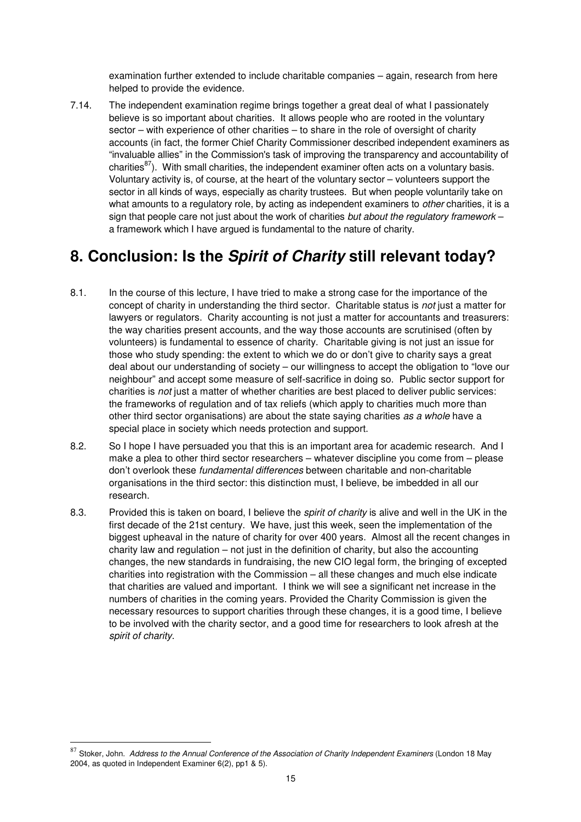examination further extended to include charitable companies – again, research from here helped to provide the evidence.

7.14. The independent examination regime brings together a great deal of what I passionately believe is so important about charities. It allows people who are rooted in the voluntary sector – with experience of other charities – to share in the role of oversight of charity accounts (in fact, the former Chief Charity Commissioner described independent examiners as "invaluable allies" in the Commission's task of improving the transparency and accountability of charities $^{87}$ ). With small charities, the independent examiner often acts on a voluntary basis. Voluntary activity is, of course, at the heart of the voluntary sector – volunteers support the sector in all kinds of ways, especially as charity trustees. But when people voluntarily take on what amounts to a regulatory role, by acting as independent examiners to *other* charities, it is a sign that people care not just about the work of charities *but about the regulatory framework* – a framework which I have argued is fundamental to the nature of charity.

#### **8. Conclusion: Is the Spirit of Charity still relevant today?**

- 8.1. In the course of this lecture, I have tried to make a strong case for the importance of the concept of charity in understanding the third sector. Charitable status is *not* just a matter for lawyers or regulators. Charity accounting is not just a matter for accountants and treasurers: the way charities present accounts, and the way those accounts are scrutinised (often by volunteers) is fundamental to essence of charity. Charitable giving is not just an issue for those who study spending: the extent to which we do or don't give to charity says a great deal about our understanding of society – our willingness to accept the obligation to "love our neighbour" and accept some measure of self-sacrifice in doing so. Public sector support for charities is *not* just a matter of whether charities are best placed to deliver public services: the frameworks of regulation and of tax reliefs (which apply to charities much more than other third sector organisations) are about the state saying charities *as a whole* have a special place in society which needs protection and support.
- 8.2. So I hope I have persuaded you that this is an important area for academic research. And I make a plea to other third sector researchers – whatever discipline you come from – please don't overlook these *fundamental differences* between charitable and non-charitable organisations in the third sector: this distinction must, I believe, be imbedded in all our research.
- 8.3. Provided this is taken on board, I believe the *spirit of charity* is alive and well in the UK in the first decade of the 21st century. We have, just this week, seen the implementation of the biggest upheaval in the nature of charity for over 400 years. Almost all the recent changes in charity law and regulation – not just in the definition of charity, but also the accounting changes, the new standards in fundraising, the new CIO legal form, the bringing of excepted charities into registration with the Commission – all these changes and much else indicate that charities are valued and important. I think we will see a significant net increase in the numbers of charities in the coming years. Provided the Charity Commission is given the necessary resources to support charities through these changes, it is a good time, I believe to be involved with the charity sector, and a good time for researchers to look afresh at the *spirit of charity*.

<sup>87</sup> Stoker, John. Address to the Annual Conference of the Association of Charity Independent Examiners (London 18 May 2004, as quoted in Independent Examiner 6(2), pp1 & 5).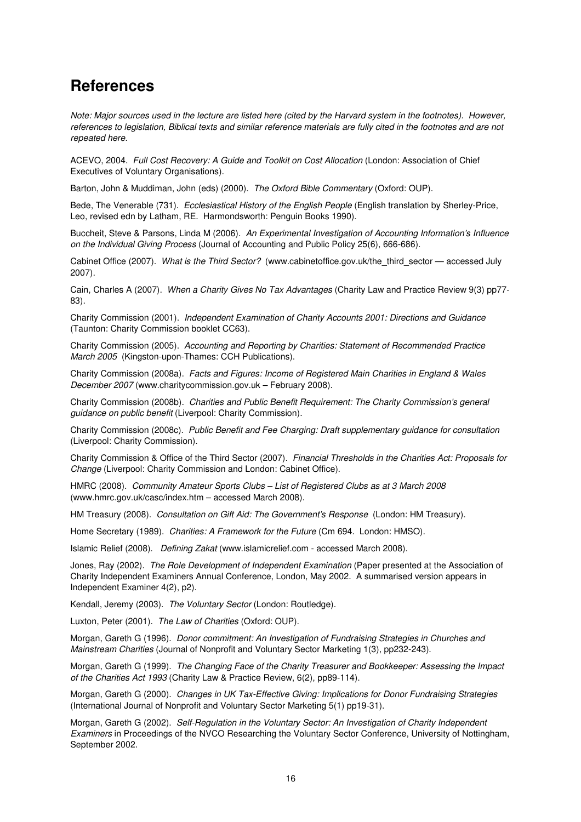#### **References**

*Note: Major sources used in the lecture are listed here (cited by the Harvard system in the footnotes). However, references to legislation, Biblical texts and similar reference materials are fully cited in the footnotes and are not repeated here.* 

ACEVO, 2004. *Full Cost Recovery: A Guide and Toolkit on Cost Allocation* (London: Association of Chief Executives of Voluntary Organisations).

Barton, John & Muddiman, John (eds) (2000). *The Oxford Bible Commentary* (Oxford: OUP).

Bede, The Venerable (731). *Ecclesiastical History of the English People* (English translation by Sherley-Price, Leo, revised edn by Latham, RE. Harmondsworth: Penguin Books 1990).

Buccheit, Steve & Parsons, Linda M (2006). *An Experimental Investigation of Accounting Information's Influence on the Individual Giving Process* (Journal of Accounting and Public Policy 25(6), 666-686).

Cabinet Office (2007). *What is the Third Sector?* (www.cabinetoffice.gov.uk/the\_third\_sector — accessed July 2007).

Cain, Charles A (2007). *When a Charity Gives No Tax Advantages* (Charity Law and Practice Review 9(3) pp77- 83).

Charity Commission (2001). *Independent Examination of Charity Accounts 2001: Directions and Guidance* (Taunton: Charity Commission booklet CC63).

Charity Commission (2005). *Accounting and Reporting by Charities: Statement of Recommended Practice March 2005* (Kingston-upon-Thames: CCH Publications).

Charity Commission (2008a). *Facts and Figures: Income of Registered Main Charities in England & Wales December 2007* (www.charitycommission.gov.uk – February 2008).

Charity Commission (2008b). *Charities and Public Benefit Requirement: The Charity Commission's general guidance on public benefit* (Liverpool: Charity Commission).

Charity Commission (2008c). *Public Benefit and Fee Charging: Draft supplementary guidance for consultation*  (Liverpool: Charity Commission).

Charity Commission & Office of the Third Sector (2007). *Financial Thresholds in the Charities Act: Proposals for Change* (Liverpool: Charity Commission and London: Cabinet Office).

HMRC (2008). *Community Amateur Sports Clubs – List of Registered Clubs as at 3 March 2008*  (www.hmrc.gov.uk/casc/index.htm – accessed March 2008).

HM Treasury (2008). *Consultation on Gift Aid: The Government's Response* (London: HM Treasury).

Home Secretary (1989). *Charities: A Framework for the Future* (Cm 694. London: HMSO).

Islamic Relief (2008). *Defining Zakat* (www.islamicrelief.com - accessed March 2008).

Jones, Ray (2002). *The Role Development of Independent Examination* (Paper presented at the Association of Charity Independent Examiners Annual Conference, London, May 2002. A summarised version appears in Independent Examiner 4(2), p2).

Kendall, Jeremy (2003). *The Voluntary Sector* (London: Routledge).

Luxton, Peter (2001). *The Law of Charities* (Oxford: OUP).

Morgan, Gareth G (1996). *Donor commitment: An Investigation of Fundraising Strategies in Churches and Mainstream Charities* (Journal of Nonprofit and Voluntary Sector Marketing 1(3), pp232-243).

Morgan, Gareth G (1999). *The Changing Face of the Charity Treasurer and Bookkeeper: Assessing the Impact of the Charities Act 1993* (Charity Law & Practice Review, 6(2), pp89-114).

Morgan, Gareth G (2000). *Changes in UK Tax-Effective Giving: Implications for Donor Fundraising Strategies* (International Journal of Nonprofit and Voluntary Sector Marketing 5(1) pp19-31).

Morgan, Gareth G (2002). *Self-Regulation in the Voluntary Sector: An Investigation of Charity Independent Examiners* in Proceedings of the NVCO Researching the Voluntary Sector Conference, University of Nottingham, September 2002.